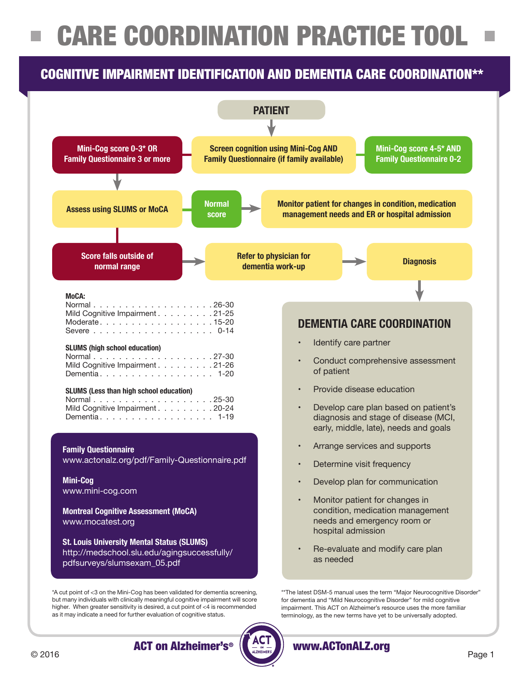# CARE COORDINATION PRACTICE TOOL

# COGNITIVE IMPAIRMENT IDENTIFICATION AND DEMENTIA CARE COORDINATION\*\*



as it may indicate a need for further evaluation of cognitive status.

ACT on Alzheimer's® www.ACTonALZ.org

terminology, as the new terms have yet to be universally adopted.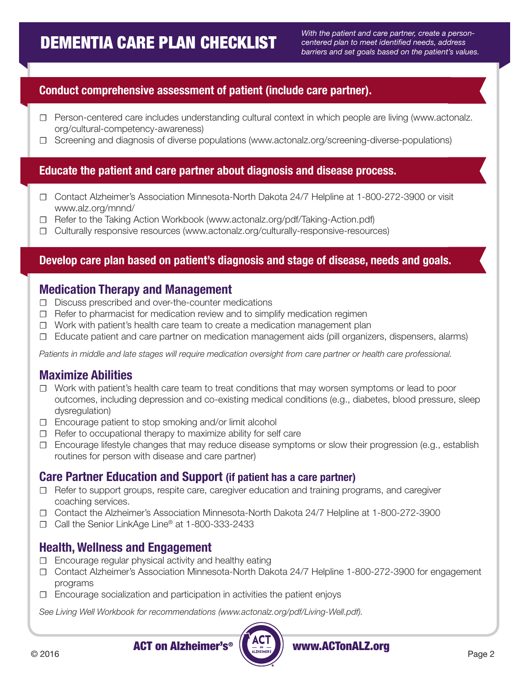*With the patient and care partner, create a personcentered plan to meet identified needs, address barriers and set goals based on the patient's values.*

### **Conduct comprehensive assessment of patient (include care partner).**

- ☐ Person-centered care includes understanding cultural context in which people are living (www.actonalz. org/cultural-competency-awareness)
- ☐ Screening and diagnosis of diverse populations (www.actonalz.org/screening-diverse-populations)

#### **Educate the patient and care partner about diagnosis and disease process.**

- ☐ Contact Alzheimer's Association Minnesota-North Dakota 24/7 Helpline at 1-800-272-3900 or visit www.alz.org/mnnd/
- ☐ Refer to the Taking Action Workbook (www.actonalz.org/pdf/Taking-Action.pdf)
- ☐ Culturally responsive resources (www.actonalz.org/culturally-responsive-resources)

### **Develop care plan based on patient's diagnosis and stage of disease, needs and goals.**

### **Medication Therapy and Management**

- ☐ Discuss prescribed and over-the-counter medications
- $\Box$  Refer to pharmacist for medication review and to simplify medication regimen
- ☐ Work with patient's health care team to create a medication management plan
- ☐ Educate patient and care partner on medication management aids (pill organizers, dispensers, alarms)

*Patients in middle and late stages will require medication oversight from care partner or health care professional.*

### **Maximize Abilities**

- ☐ Work with patient's health care team to treat conditions that may worsen symptoms or lead to poor outcomes, including depression and co-existing medical conditions (e.g., diabetes, blood pressure, sleep dysregulation)
- ☐ Encourage patient to stop smoking and/or limit alcohol
- ☐ Refer to occupational therapy to maximize ability for self care
- ☐ Encourage lifestyle changes that may reduce disease symptoms or slow their progression (e.g., establish routines for person with disease and care partner)

### **Care Partner Education and Support (if patient has a care partner)**

- ☐ Refer to support groups, respite care, caregiver education and training programs, and caregiver coaching services.
- ☐ Contact the Alzheimer's Association Minnesota-North Dakota 24/7 Helpline at 1-800-272-3900
- ☐ Call the Senior LinkAge Line® at 1-800-333-2433

### **Health, Wellness and Engagement**

- ☐ Encourage regular physical activity and healthy eating
- ☐ Contact Alzheimer's Association Minnesota-North Dakota 24/7 Helpline 1-800-272-3900 for engagement programs
- ☐ Encourage socialization and participation in activities the patient enjoys

*See Living Well Workbook for recommendations (www.actonalz.org/pdf/Living-Well.pdf).*



ACT on Alzheimer's<sup>®</sup> ( $\left(\frac{1}{n}$ , and all all alternative and all alternative and all alternative and all alternative and all alternative and all alternative and all alternative and all alternative and all alternative an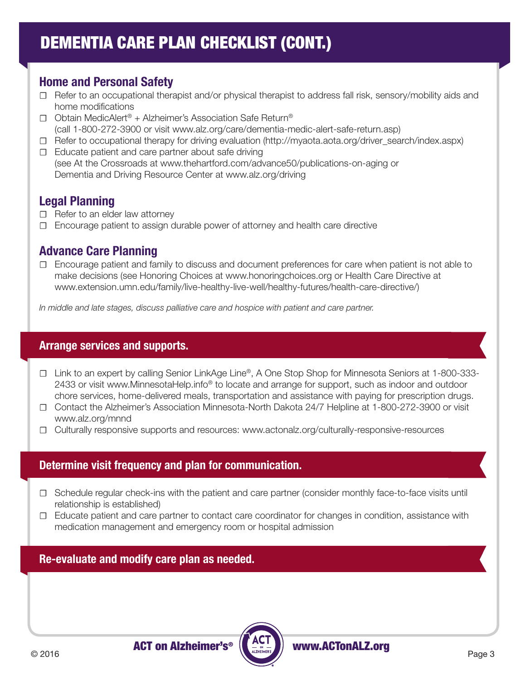# DEMENTIA CARE PLAN CHECKLIST (CONT.)

## **Home and Personal Safety**

- ☐ Refer to an occupational therapist and/or physical therapist to address fall risk, sensory/mobility aids and home modifications
- ☐ Obtain MedicAlert® + Alzheimer's Association Safe Return® (call 1-800-272-3900 or visit www.alz.org/care/dementia-medic-alert-safe-return.asp)
- ☐ Refer to occupational therapy for driving evaluation (http://myaota.aota.org/driver\_search/index.aspx)
- ☐ Educate patient and care partner about safe driving (see At the Crossroads at www.thehartford.com/advance50/publications-on-aging or Dementia and Driving Resource Center at www.alz.org/driving

## **Legal Planning**

- □ Refer to an elder law attorney
- ☐ Encourage patient to assign durable power of attorney and health care directive

### **Advance Care Planning**

☐ Encourage patient and family to discuss and document preferences for care when patient is not able to make decisions (see Honoring Choices at www.honoringchoices.org or Health Care Directive at www.extension.umn.edu/family/live-healthy-live-well/healthy-futures/health-care-directive/)

*In middle and late stages, discuss palliative care and hospice with patient and care partner.* 

### **Arrange services and supports.**

- ☐ Link to an expert by calling Senior LinkAge Line®, A One Stop Shop for Minnesota Seniors at 1-800-333- 2433 or visit www.MinnesotaHelp.info<sup>®</sup> to locate and arrange for support, such as indoor and outdoor chore services, home-delivered meals, transportation and assistance with paying for prescription drugs.
- ☐ Contact the Alzheimer's Association Minnesota-North Dakota 24/7 Helpline at 1-800-272-3900 or visit www.alz.org/mnnd
- ☐ Culturally responsive supports and resources: www.actonalz.org/culturally-responsive-resources

### **Determine visit frequency and plan for communication.**

- ☐ Schedule regular check-ins with the patient and care partner (consider monthly face-to-face visits until relationship is established)
- ☐ Educate patient and care partner to contact care coordinator for changes in condition, assistance with medication management and emergency room or hospital admission

### **Re-evaluate and modify care plan as needed.**